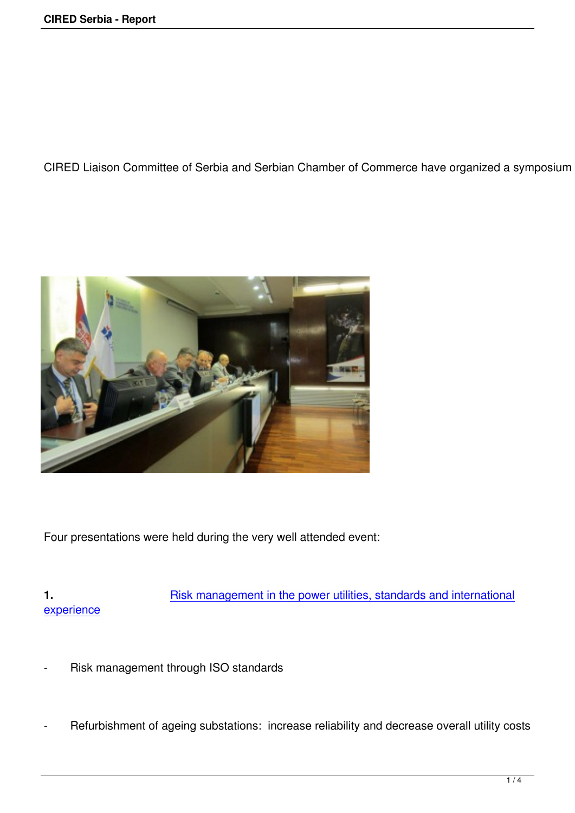CIRED Liaison Committee of Serbia and Serbian Chamber of Commerce have organized a symposium "Ri



Four presentations were held during the very well attended event:

**1.** Risk management in the power utilities, standards and international experience

- Risk management through ISO standards
- Refurbishment of ageing substations: increase reliability and decrease overall utility costs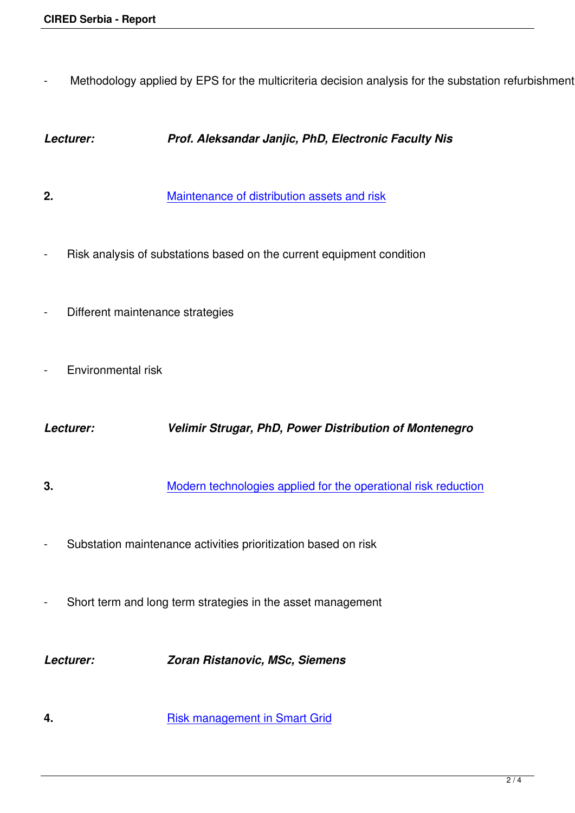Methodology applied by EPS for the multicriteria decision analysis for the substation refurbishment

## *Lecturer: Prof. Aleksandar Janjic, PhD, Electronic Faculty Nis*

- **2.** Maintenance of distribution assets and risk
- Risk analysis of su[bstations based on the current equipment co](http://www.ciredserbia.org.rs/images/stories/Kolokvijumi/2015/radovi/2.%20V%20Strugar.pdf)ndition
- Different maintenance strategies
- **Environmental risk**

*Lecturer: Velimir Strugar, PhD, Power Distribution of Montenegro*

- **3.** Modern technologies applied for the operational risk reduction
- Substation mainten[ance activities prioritization based on risk](http://www.ciredserbia.org.rs/images/stories/Kolokvijumi/2015/radovi/4.%20Z.%20Ristanovic.pdf)
- Short term and long term strategies in the asset management

*Lecturer: Zoran Ristanovic, MSc, Siemens*

**4. Risk management in Smart Grid**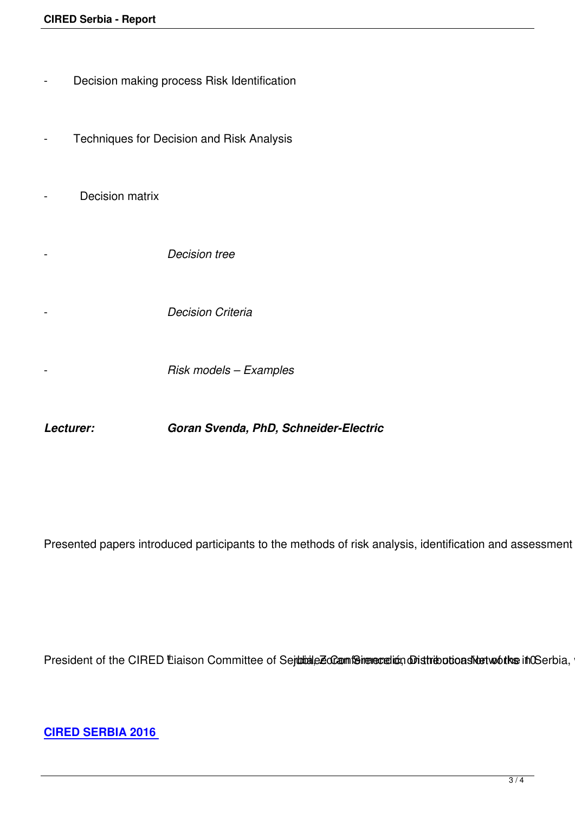| Decision making process Risk Identification |
|---------------------------------------------|
| Techniques for Decision and Risk Analysis   |
| Decision matrix                             |
| <b>Decision tree</b>                        |
| <b>Decision Criteria</b>                    |
| Risk models - Examples                      |

*Lecturer: Goran Svenda, PhD, Schneider-Electric*

Presented papers introduced participants to the methods of risk analysis, identification and assessment of t

President of the CIRED Liaison Committee of Sejubiale Eddam for merculion obistribotions Nustria in CSerbia, whi

**CIRED SERBIA 2016**